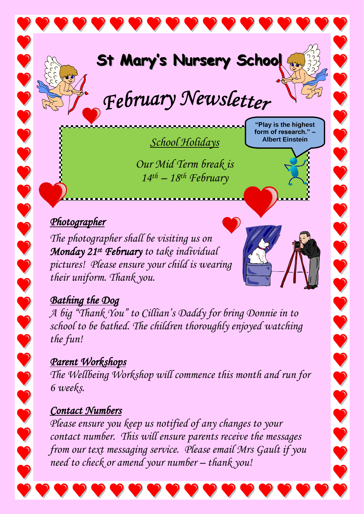

# February Newsletter

*School Holidays*

**"Play is the highest form of research." – Albert Einstein**

*Our Mid Term break is 14 th – 18 th February*

#### *Photographer*

*The photographer shall be visiting us on Monday 21st February to take individual pictures! Please ensure your child is wearing their uniform. Thank you.*

## *Bathing the Dog*

*A big "Thank You" to Cillian's Daddy for bring Donnie in to school to be bathed. The children thoroughly enjoyed watching the fun!*

*Parent Workshops The Wellbeing Workshop will commence this month and run for 6 weeks.* 

### *Contact Numbers*

*Please ensure you keep us notified of any changes to your contact number. This will ensure parents receive the messages from our text messaging service. Please email Mrs Gault if you need to check or amend your number – thank you!*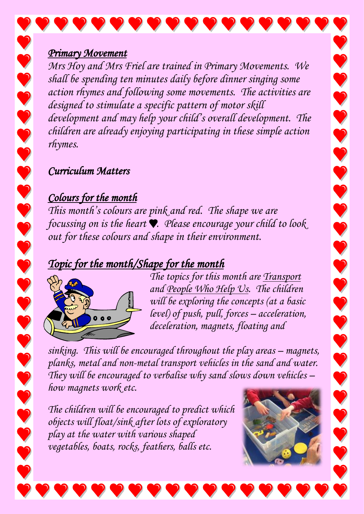#### *Primary Movement*

*Mrs Hoy and Mrs Friel are trained in Primary Movements. We shall be spending ten minutes daily before dinner singing some action rhymes and following some movements. The activities are designed to stimulate a specific pattern of motor skill development and may help your child's overall development. The children are already enjoying participating in these simple action rhymes.*

#### *Curriculum Matters*

## *Colours for the month*

*This month's colours are pink and red. The shape we are focussing on is the heart*  $\bullet$ . *Please encourage your child to look*. *out for these colours and shape in their environment.*

# *Topic for the month/Shape for the month*



*The topics for this month are Transport and People Who Help Us. The children will be exploring the concepts (at a basic level) of push, pull, forces – acceleration, deceleration, magnets, floating and* 

*sinking. This will be encouraged throughout the play areas – magnets, planks, metal and non-metal transport vehicles in the sand and water. They will be encouraged to verbalise why sand slows down vehicles – how magnets work etc.* 

*The children will be encouraged to predict which objects will float/sink after lots of exploratory play at the water with various shaped vegetables, boats, rocks, feathers, balls etc.*